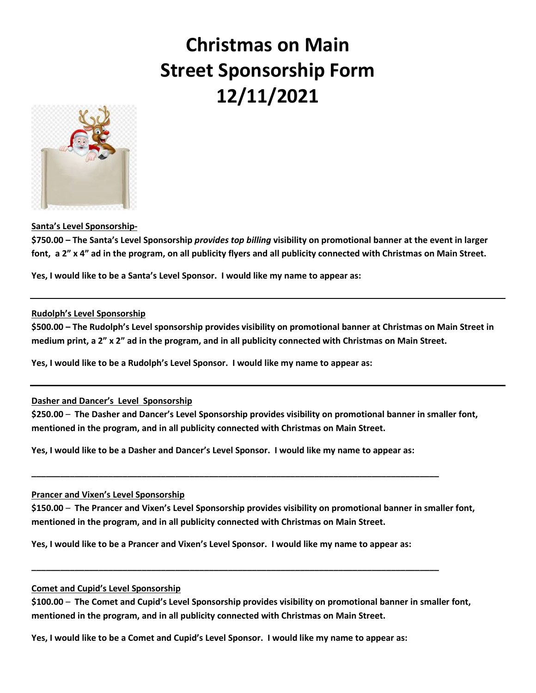# **Christmas on Main Street Sponsorship Form 12/11/2021**



## **Santa's Level Sponsorship-**

**\$750.00 – The Santa's Level Sponsorship** *provides top billing* **visibility on promotional banner at the event in larger font, a 2" x 4" ad in the program, on all publicity flyers and all publicity connected with Christmas on Main Street.** 

**Yes, I would like to be a Santa's Level Sponsor. I would like my name to appear as:**

#### **Rudolph's Level Sponsorship**

**\$500.00 – The Rudolph's Level sponsorship provides visibility on promotional banner at Christmas on Main Street in medium print, a 2" x 2" ad in the program, and in all publicity connected with Christmas on Main Street.** 

**Yes, I would like to be a Rudolph's Level Sponsor. I would like my name to appear as:**

### **Dasher and Dancer's Level Sponsorship**

**\$250.00** – **The Dasher and Dancer's Level Sponsorship provides visibility on promotional banner in smaller font, mentioned in the program, and in all publicity connected with Christmas on Main Street.** 

**Yes, I would like to be a Dasher and Dancer's Level Sponsor. I would like my name to appear as:**

**\_\_\_\_\_\_\_\_\_\_\_\_\_\_\_\_\_\_\_\_\_\_\_\_\_\_\_\_\_\_\_\_\_\_\_\_\_\_\_\_\_\_\_\_\_\_\_\_\_\_\_\_\_\_\_\_\_\_\_\_\_\_\_\_\_\_\_\_\_\_\_\_\_\_\_\_\_\_\_\_\_\_\_\_\_**

#### **Prancer and Vixen's Level Sponsorship**

**\$150.00** – **The Prancer and Vixen's Level Sponsorship provides visibility on promotional banner in smaller font, mentioned in the program, and in all publicity connected with Christmas on Main Street.** 

**Yes, I would like to be a Prancer and Vixen's Level Sponsor. I would like my name to appear as:**

**\_\_\_\_\_\_\_\_\_\_\_\_\_\_\_\_\_\_\_\_\_\_\_\_\_\_\_\_\_\_\_\_\_\_\_\_\_\_\_\_\_\_\_\_\_\_\_\_\_\_\_\_\_\_\_\_\_\_\_\_\_\_\_\_\_\_\_\_\_\_\_\_\_\_\_\_\_\_\_\_\_\_\_\_\_**

#### **Comet and Cupid's Level Sponsorship**

**\$100.00** – **The Comet and Cupid's Level Sponsorship provides visibility on promotional banner in smaller font, mentioned in the program, and in all publicity connected with Christmas on Main Street.** 

**Yes, I would like to be a Comet and Cupid's Level Sponsor. I would like my name to appear as:**